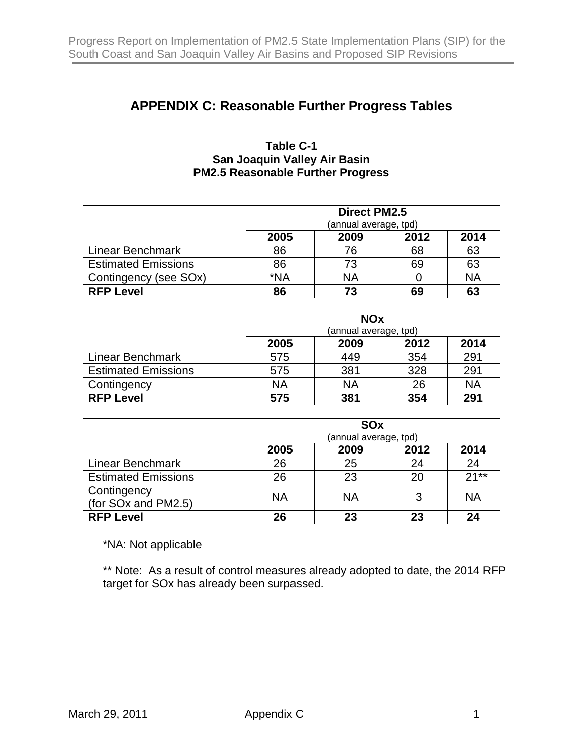## **APPENDIX C: Reasonable Further Progress Tables**

## **Table C-1 San Joaquin Valley Air Basin PM2.5 Reasonable Further Progress**

|                            | <b>Direct PM2.5</b>          |           |    |           |  |
|----------------------------|------------------------------|-----------|----|-----------|--|
|                            | (annual average, tpd)        |           |    |           |  |
|                            | 2014<br>2012<br>2009<br>2005 |           |    |           |  |
| Linear Benchmark           | 86                           | 76        | 68 | 63        |  |
| <b>Estimated Emissions</b> | 86                           | 73        | 69 | 63        |  |
| Contingency (see SOx)      | *NA                          | <b>NA</b> |    | <b>NA</b> |  |
| <b>RFP Level</b>           | 86                           | 73        | 69 | 63        |  |

|                            | <b>NOx</b><br>(annual average, tpd) |           |      |           |
|----------------------------|-------------------------------------|-----------|------|-----------|
|                            | 2005                                | 2009      | 2012 | 2014      |
| Linear Benchmark           | 575                                 | 449       | 354  | 291       |
| <b>Estimated Emissions</b> | 575                                 | 381       | 328  | 291       |
| Contingency                | <b>NA</b>                           | <b>NA</b> | 26   | <b>NA</b> |
| <b>RFP Level</b>           | 575                                 | 381       | 354  | 291       |

|                                    | <b>SO<sub>x</sub></b><br>(annual average, tpd) |           |      |           |
|------------------------------------|------------------------------------------------|-----------|------|-----------|
|                                    | 2005                                           | 2009      | 2012 | 2014      |
| Linear Benchmark                   | 26                                             | 25        | 24   | 24        |
| <b>Estimated Emissions</b>         | 26                                             | 23        | 20   | $21**$    |
| Contingency<br>(for SOx and PM2.5) | <b>NA</b>                                      | <b>NA</b> |      | <b>NA</b> |
| <b>RFP Level</b>                   | 26                                             | 23        | 23   | 24        |

\*NA: Not applicable

\*\* Note: As a result of control measures already adopted to date, the 2014 RFP target for SOx has already been surpassed.